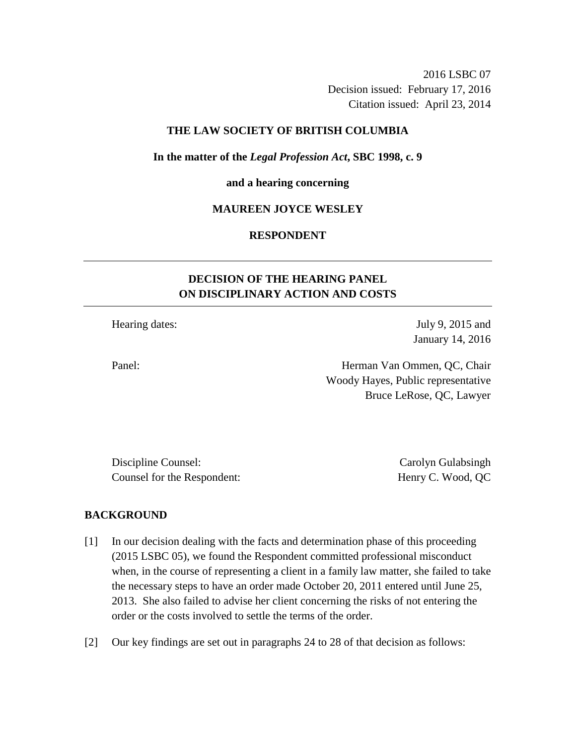2016 LSBC 07 Decision issued: February 17, 2016 Citation issued: April 23, 2014

# **THE LAW SOCIETY OF BRITISH COLUMBIA**

**In the matter of the** *Legal Profession Act***, SBC 1998, c. 9** 

#### **and a hearing concerning**

### **MAUREEN JOYCE WESLEY**

# **RESPONDENT**

# **DECISION OF THE HEARING PANEL ON DISCIPLINARY ACTION AND COSTS**

Hearing dates: July 9, 2015 and

January 14, 2016

Panel: Herman Van Ommen, QC, Chair Woody Hayes, Public representative Bruce LeRose, QC, Lawyer

Discipline Counsel: Carolyn Gulabsingh Counsel for the Respondent: Henry C. Wood, QC

#### **BACKGROUND**

- [1] In our decision dealing with the facts and determination phase of this proceeding (2015 LSBC 05), we found the Respondent committed professional misconduct when, in the course of representing a client in a family law matter, she failed to take the necessary steps to have an order made October 20, 2011 entered until June 25, 2013. She also failed to advise her client concerning the risks of not entering the order or the costs involved to settle the terms of the order.
- [2] Our key findings are set out in paragraphs 24 to 28 of that decision as follows: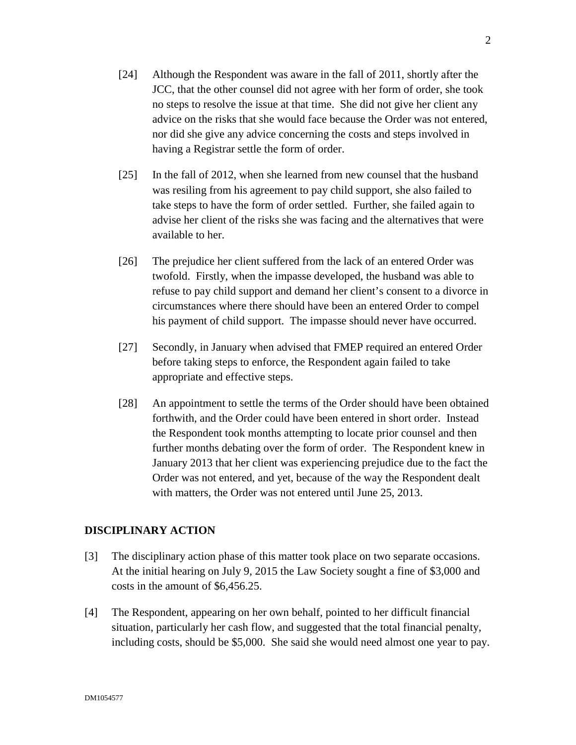- [24] Although the Respondent was aware in the fall of 2011, shortly after the JCC, that the other counsel did not agree with her form of order, she took no steps to resolve the issue at that time. She did not give her client any advice on the risks that she would face because the Order was not entered, nor did she give any advice concerning the costs and steps involved in having a Registrar settle the form of order.
- [25] In the fall of 2012, when she learned from new counsel that the husband was resiling from his agreement to pay child support, she also failed to take steps to have the form of order settled. Further, she failed again to advise her client of the risks she was facing and the alternatives that were available to her.
- [26] The prejudice her client suffered from the lack of an entered Order was twofold. Firstly, when the impasse developed, the husband was able to refuse to pay child support and demand her client's consent to a divorce in circumstances where there should have been an entered Order to compel his payment of child support. The impasse should never have occurred.
- [27] Secondly, in January when advised that FMEP required an entered Order before taking steps to enforce, the Respondent again failed to take appropriate and effective steps.
- [28] An appointment to settle the terms of the Order should have been obtained forthwith, and the Order could have been entered in short order. Instead the Respondent took months attempting to locate prior counsel and then further months debating over the form of order. The Respondent knew in January 2013 that her client was experiencing prejudice due to the fact the Order was not entered, and yet, because of the way the Respondent dealt with matters, the Order was not entered until June 25, 2013.

# **DISCIPLINARY ACTION**

- [3] The disciplinary action phase of this matter took place on two separate occasions. At the initial hearing on July 9, 2015 the Law Society sought a fine of \$3,000 and costs in the amount of \$6,456.25.
- [4] The Respondent, appearing on her own behalf, pointed to her difficult financial situation, particularly her cash flow, and suggested that the total financial penalty, including costs, should be \$5,000. She said she would need almost one year to pay.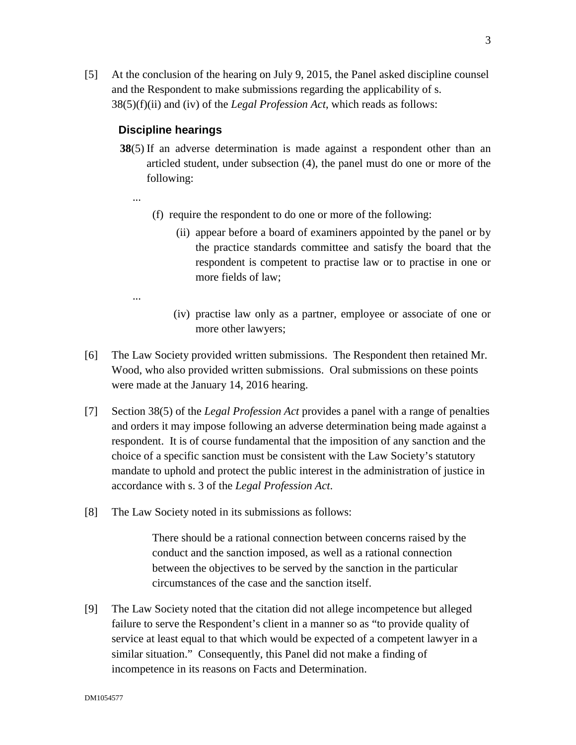[5] At the conclusion of the hearing on July 9, 2015, the Panel asked discipline counsel and the Respondent to make submissions regarding the applicability of s. 38(5)(f)(ii) and (iv) of the *Legal Profession Act*, which reads as follows:

# **Discipline hearings**

- **38**(5) If an adverse determination is made against a respondent other than an articled student, under subsection (4), the panel must do one or more of the following:
- ...
- (f) require the respondent to do one or more of the following:
	- (ii) appear before a board of examiners appointed by the panel or by the practice standards committee and satisfy the board that the respondent is competent to practise law or to practise in one or more fields of law;
- ...
- (iv) practise law only as a partner, employee or associate of one or more other lawyers;
- [6] The Law Society provided written submissions. The Respondent then retained Mr. Wood, who also provided written submissions. Oral submissions on these points were made at the January 14, 2016 hearing.
- [7] Section 38(5) of the *Legal Profession Act* provides a panel with a range of penalties and orders it may impose following an adverse determination being made against a respondent. It is of course fundamental that the imposition of any sanction and the choice of a specific sanction must be consistent with the Law Society's statutory mandate to uphold and protect the public interest in the administration of justice in accordance with s. 3 of the *Legal Profession Act*.
- [8] The Law Society noted in its submissions as follows:

There should be a rational connection between concerns raised by the conduct and the sanction imposed, as well as a rational connection between the objectives to be served by the sanction in the particular circumstances of the case and the sanction itself.

[9] The Law Society noted that the citation did not allege incompetence but alleged failure to serve the Respondent's client in a manner so as "to provide quality of service at least equal to that which would be expected of a competent lawyer in a similar situation." Consequently, this Panel did not make a finding of incompetence in its reasons on Facts and Determination.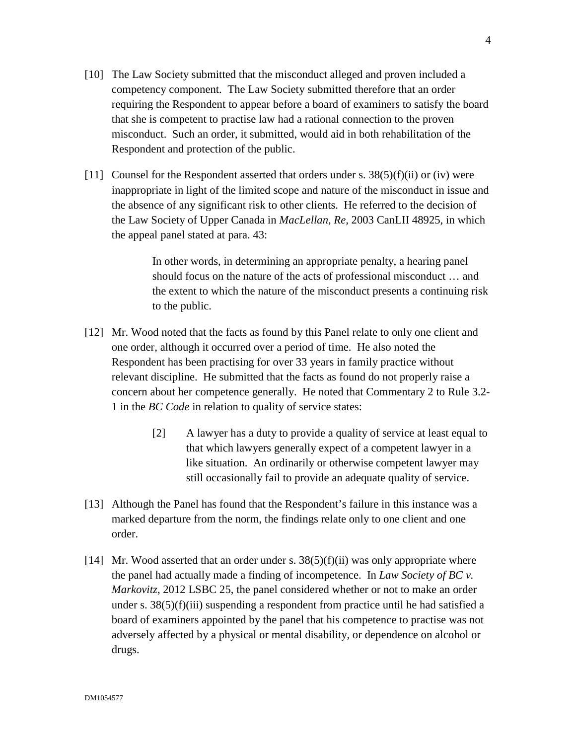- [10] The Law Society submitted that the misconduct alleged and proven included a competency component. The Law Society submitted therefore that an order requiring the Respondent to appear before a board of examiners to satisfy the board that she is competent to practise law had a rational connection to the proven misconduct. Such an order, it submitted, would aid in both rehabilitation of the Respondent and protection of the public.
- [11] Counsel for the Respondent asserted that orders under s.  $38(5)(f)(ii)$  or (iv) were inappropriate in light of the limited scope and nature of the misconduct in issue and the absence of any significant risk to other clients. He referred to the decision of the Law Society of Upper Canada in *MacLellan, Re,* 2003 CanLII 48925, in which the appeal panel stated at para. 43:

In other words, in determining an appropriate penalty, a hearing panel should focus on the nature of the acts of professional misconduct … and the extent to which the nature of the misconduct presents a continuing risk to the public.

- [12] Mr. Wood noted that the facts as found by this Panel relate to only one client and one order, although it occurred over a period of time. He also noted the Respondent has been practising for over 33 years in family practice without relevant discipline. He submitted that the facts as found do not properly raise a concern about her competence generally. He noted that Commentary 2 to Rule 3.2- 1 in the *BC Code* in relation to quality of service states:
	- [2] A lawyer has a duty to provide a quality of service at least equal to that which lawyers generally expect of a competent lawyer in a like situation. An ordinarily or otherwise competent lawyer may still occasionally fail to provide an adequate quality of service.
- [13] Although the Panel has found that the Respondent's failure in this instance was a marked departure from the norm, the findings relate only to one client and one order.
- [14] Mr. Wood asserted that an order under s.  $38(5)(f)(ii)$  was only appropriate where the panel had actually made a finding of incompetence. In *Law Society of BC v. Markovitz*, 2012 LSBC 25, the panel considered whether or not to make an order under s.  $38(5)(f)(iii)$  suspending a respondent from practice until he had satisfied a board of examiners appointed by the panel that his competence to practise was not adversely affected by a physical or mental disability, or dependence on alcohol or drugs.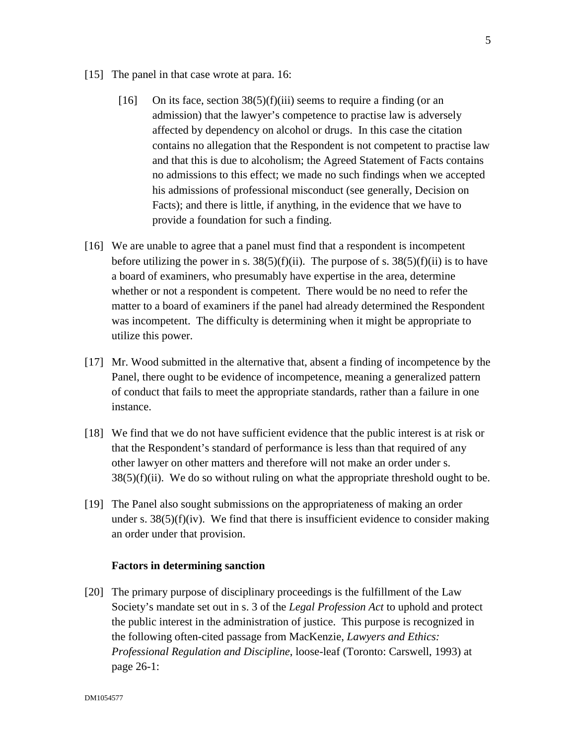- [15] The panel in that case wrote at para. 16:
	- [16] On its face, section  $38(5)(f)(iii)$  seems to require a finding (or an admission) that the lawyer's competence to practise law is adversely affected by dependency on alcohol or drugs. In this case the citation contains no allegation that the Respondent is not competent to practise law and that this is due to alcoholism; the Agreed Statement of Facts contains no admissions to this effect; we made no such findings when we accepted his admissions of professional misconduct (see generally, Decision on Facts); and there is little, if anything, in the evidence that we have to provide a foundation for such a finding.
- [16] We are unable to agree that a panel must find that a respondent is incompetent before utilizing the power in s.  $38(5)(f)(ii)$ . The purpose of s.  $38(5)(f)(ii)$  is to have a board of examiners, who presumably have expertise in the area, determine whether or not a respondent is competent. There would be no need to refer the matter to a board of examiners if the panel had already determined the Respondent was incompetent. The difficulty is determining when it might be appropriate to utilize this power.
- [17] Mr. Wood submitted in the alternative that, absent a finding of incompetence by the Panel, there ought to be evidence of incompetence, meaning a generalized pattern of conduct that fails to meet the appropriate standards, rather than a failure in one instance.
- [18] We find that we do not have sufficient evidence that the public interest is at risk or that the Respondent's standard of performance is less than that required of any other lawyer on other matters and therefore will not make an order under s.  $38(5)(f)(ii)$ . We do so without ruling on what the appropriate threshold ought to be.
- [19] The Panel also sought submissions on the appropriateness of making an order under s.  $38(5)(f)(iv)$ . We find that there is insufficient evidence to consider making an order under that provision.

# **Factors in determining sanction**

[20] The primary purpose of disciplinary proceedings is the fulfillment of the Law Society's mandate set out in s. 3 of the *Legal Profession Act* to uphold and protect the public interest in the administration of justice. This purpose is recognized in the following often-cited passage from MacKenzie, *Lawyers and Ethics: Professional Regulation and Discipline*, loose-leaf (Toronto: Carswell, 1993) at page 26-1: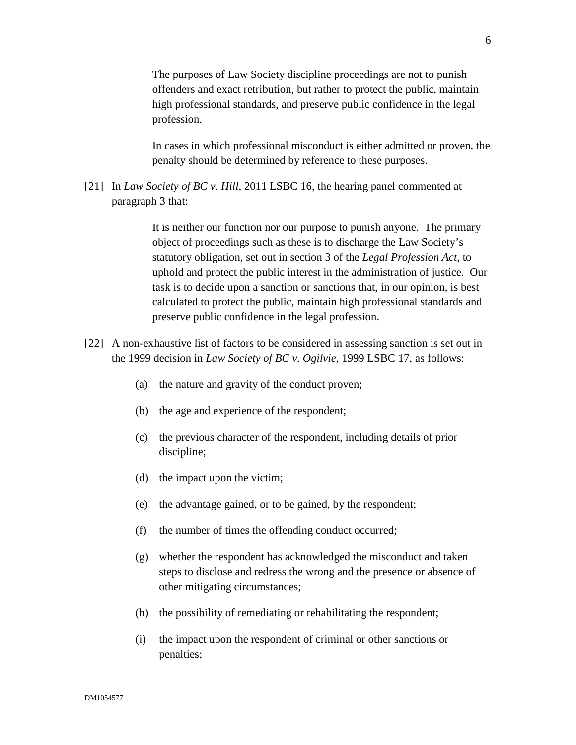The purposes of Law Society discipline proceedings are not to punish offenders and exact retribution, but rather to protect the public, maintain high professional standards, and preserve public confidence in the legal profession.

In cases in which professional misconduct is either admitted or proven, the penalty should be determined by reference to these purposes.

[21] In *Law Society of BC v. Hill*, 2011 LSBC 16, the hearing panel commented at paragraph 3 that:

> It is neither our function nor our purpose to punish anyone. The primary object of proceedings such as these is to discharge the Law Society's statutory obligation, set out in section 3 of the *Legal Profession Act*, to uphold and protect the public interest in the administration of justice. Our task is to decide upon a sanction or sanctions that, in our opinion, is best calculated to protect the public, maintain high professional standards and preserve public confidence in the legal profession.

- [22] A non-exhaustive list of factors to be considered in assessing sanction is set out in the 1999 decision in *Law Society of BC v. Ogilvie*, 1999 LSBC 17, as follows:
	- (a) the nature and gravity of the conduct proven;
	- (b) the age and experience of the respondent;
	- (c) the previous character of the respondent, including details of prior discipline;
	- (d) the impact upon the victim;
	- (e) the advantage gained, or to be gained, by the respondent;
	- (f) the number of times the offending conduct occurred;
	- (g) whether the respondent has acknowledged the misconduct and taken steps to disclose and redress the wrong and the presence or absence of other mitigating circumstances;
	- (h) the possibility of remediating or rehabilitating the respondent;
	- (i) the impact upon the respondent of criminal or other sanctions or penalties;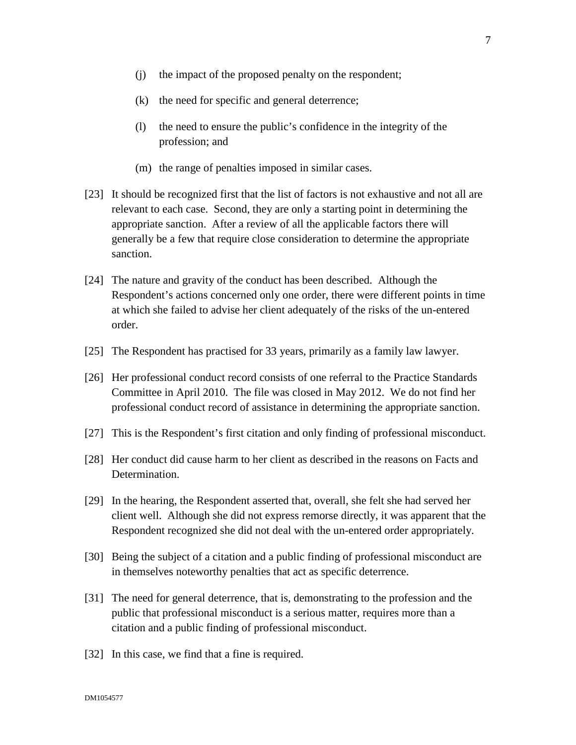- (j) the impact of the proposed penalty on the respondent;
- (k) the need for specific and general deterrence;
- (l) the need to ensure the public's confidence in the integrity of the profession; and
- (m) the range of penalties imposed in similar cases.
- [23] It should be recognized first that the list of factors is not exhaustive and not all are relevant to each case. Second, they are only a starting point in determining the appropriate sanction. After a review of all the applicable factors there will generally be a few that require close consideration to determine the appropriate sanction.
- [24] The nature and gravity of the conduct has been described. Although the Respondent's actions concerned only one order, there were different points in time at which she failed to advise her client adequately of the risks of the un-entered order.
- [25] The Respondent has practised for 33 years, primarily as a family law lawyer.
- [26] Her professional conduct record consists of one referral to the Practice Standards Committee in April 2010. The file was closed in May 2012. We do not find her professional conduct record of assistance in determining the appropriate sanction.
- [27] This is the Respondent's first citation and only finding of professional misconduct.
- [28] Her conduct did cause harm to her client as described in the reasons on Facts and Determination.
- [29] In the hearing, the Respondent asserted that, overall, she felt she had served her client well. Although she did not express remorse directly, it was apparent that the Respondent recognized she did not deal with the un-entered order appropriately.
- [30] Being the subject of a citation and a public finding of professional misconduct are in themselves noteworthy penalties that act as specific deterrence.
- [31] The need for general deterrence, that is, demonstrating to the profession and the public that professional misconduct is a serious matter, requires more than a citation and a public finding of professional misconduct.
- [32] In this case, we find that a fine is required.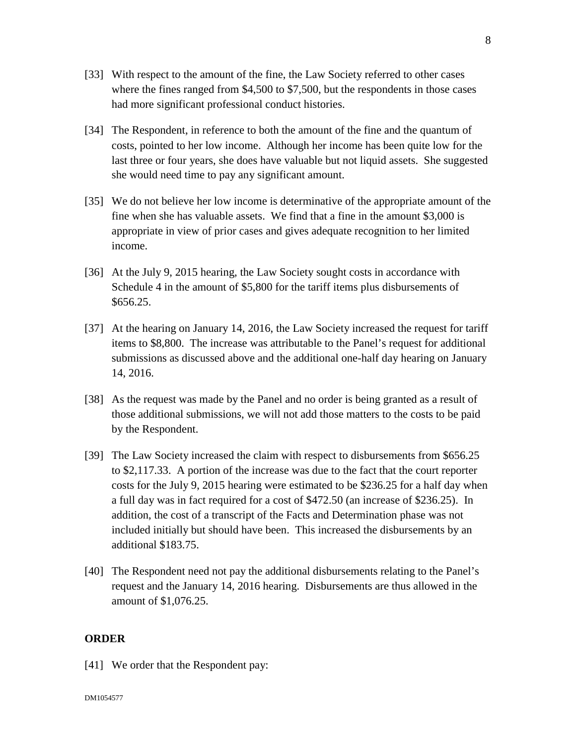- [33] With respect to the amount of the fine, the Law Society referred to other cases where the fines ranged from \$4,500 to \$7,500, but the respondents in those cases had more significant professional conduct histories.
- [34] The Respondent, in reference to both the amount of the fine and the quantum of costs, pointed to her low income. Although her income has been quite low for the last three or four years, she does have valuable but not liquid assets. She suggested she would need time to pay any significant amount.
- [35] We do not believe her low income is determinative of the appropriate amount of the fine when she has valuable assets. We find that a fine in the amount \$3,000 is appropriate in view of prior cases and gives adequate recognition to her limited income.
- [36] At the July 9, 2015 hearing, the Law Society sought costs in accordance with Schedule 4 in the amount of \$5,800 for the tariff items plus disbursements of \$656.25.
- [37] At the hearing on January 14, 2016, the Law Society increased the request for tariff items to \$8,800. The increase was attributable to the Panel's request for additional submissions as discussed above and the additional one-half day hearing on January 14, 2016.
- [38] As the request was made by the Panel and no order is being granted as a result of those additional submissions, we will not add those matters to the costs to be paid by the Respondent.
- [39] The Law Society increased the claim with respect to disbursements from \$656.25 to \$2,117.33. A portion of the increase was due to the fact that the court reporter costs for the July 9, 2015 hearing were estimated to be \$236.25 for a half day when a full day was in fact required for a cost of \$472.50 (an increase of \$236.25). In addition, the cost of a transcript of the Facts and Determination phase was not included initially but should have been. This increased the disbursements by an additional \$183.75.
- [40] The Respondent need not pay the additional disbursements relating to the Panel's request and the January 14, 2016 hearing. Disbursements are thus allowed in the amount of \$1,076.25.

# **ORDER**

[41] We order that the Respondent pay:

8